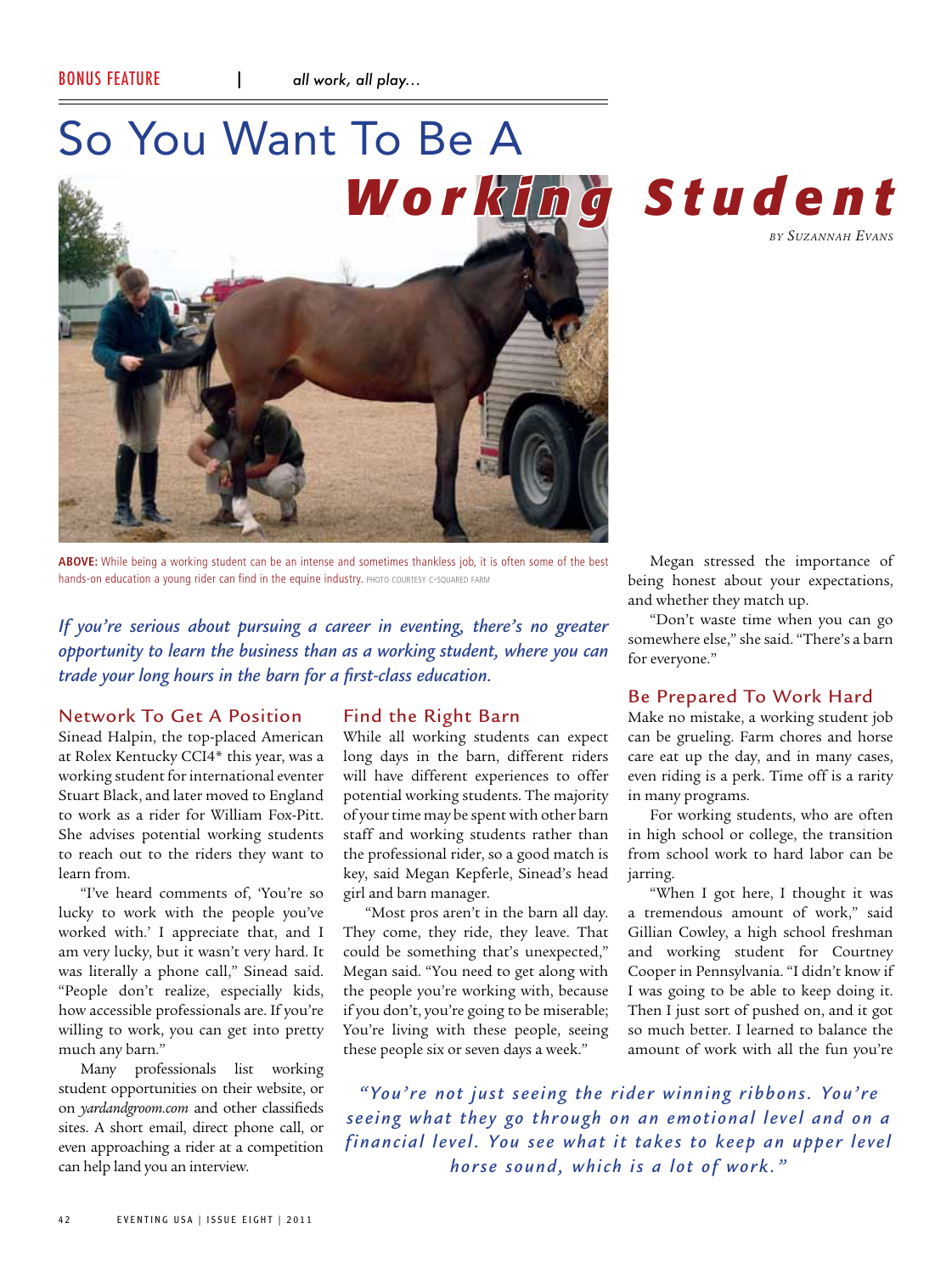# So You Want To Be A





*by Suzannah Evans*

**ABOVE:** While being a working student can be an intense and sometimes thankless job, it is often some of the best hands-on education a young rider can find in the equine industry. PHOTO COURTESY C-SQUARED FARM

*If you're serious about pursuing a career in eventing, there's no greater opportunity to learn the business than as a working student, where you can trade your long hours in the barn for a first-class education.*

# Network To Get A Position

Sinead Halpin, the top-placed American at Rolex Kentucky CCI4\* this year, was a working student for international eventer Stuart Black, and later moved to England to work as a rider for William Fox-Pitt. She advises potential working students to reach out to the riders they want to learn from.

"I've heard comments of, 'You're so lucky to work with the people you've worked with.' I appreciate that, and I am very lucky, but it wasn't very hard. It was literally a phone call," Sinead said. "People don't realize, especially kids, how accessible professionals are. If you're willing to work, you can get into pretty much any barn."

Many professionals list working student opportunities on their website, or on *yardandgroom.com* and other classifieds sites. A short email, direct phone call, or even approaching a rider at a competition can help land you an interview.

# Find the Right Barn

While all working students can expect long days in the barn, different riders will have different experiences to offer potential working students. The majority of your time may be spent with other barn staff and working students rather than the professional rider, so a good match is key, said Megan Kepferle, Sinead's head girl and barn manager.

"Most pros aren't in the barn all day. They come, they ride, they leave. That could be something that's unexpected," Megan said. "You need to get along with the people you're working with, because if you don't, you're going to be miserable; You're living with these people, seeing these people six or seven days a week."

Megan stressed the importance of being honest about your expectations, and whether they match up.

"Don't waste time when you can go somewhere else," she said. "There's a barn for everyone."

# Be Prepared To Work Hard

Make no mistake, a working student job can be grueling. Farm chores and horse care eat up the day, and in many cases, even riding is a perk. Time off is a rarity in many programs.

For working students, who are often in high school or college, the transition from school work to hard labor can be jarring.

"When I got here, I thought it was a tremendous amount of work," said Gillian Cowley, a high school freshman and working student for Courtney Cooper in Pennsylvania. "I didn't know if I was going to be able to keep doing it. Then I just sort of pushed on, and it got so much better. I learned to balance the amount of work with all the fun you're

*"You're not just seeing the rider winning ribbons. You're seeing what they go through on an emotional level and on a f inancial level. You see what it takes to keep an upper level horse sound, which is a lot of work."*